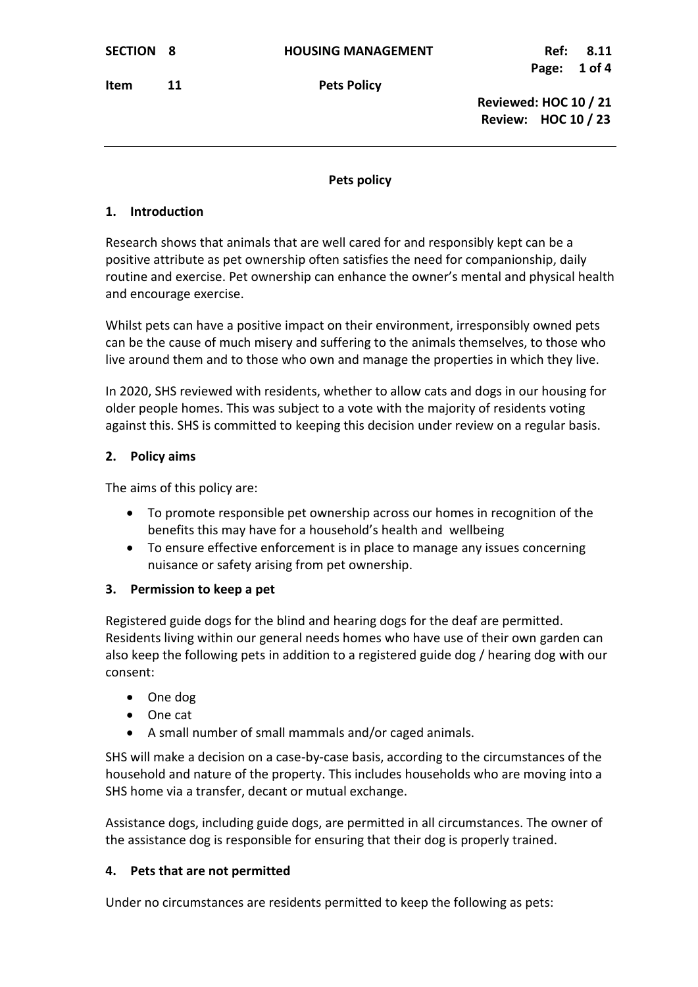**Item** 11 Pets Policy

 **Reviewed: HOC 10 / 21 Review: HOC 10 / 23**

### **Pets policy**

## **1. Introduction**

Research shows that animals that are well cared for and responsibly kept can be a positive attribute as pet ownership often satisfies the need for companionship, daily routine and exercise. Pet ownership can enhance the owner's mental and physical health and encourage exercise.

Whilst pets can have a positive impact on their environment, irresponsibly owned pets can be the cause of much misery and suffering to the animals themselves, to those who live around them and to those who own and manage the properties in which they live.

In 2020, SHS reviewed with residents, whether to allow cats and dogs in our housing for older people homes. This was subject to a vote with the majority of residents voting against this. SHS is committed to keeping this decision under review on a regular basis.

### **2. Policy aims**

The aims of this policy are:

- To promote responsible pet ownership across our homes in recognition of the benefits this may have for a household's health and wellbeing
- To ensure effective enforcement is in place to manage any issues concerning nuisance or safety arising from pet ownership.

# **3. Permission to keep a pet**

Registered guide dogs for the blind and hearing dogs for the deaf are permitted. Residents living within our general needs homes who have use of their own garden can also keep the following pets in addition to a registered guide dog / hearing dog with our consent:

- One dog
- One cat
- A small number of small mammals and/or caged animals.

SHS will make a decision on a case-by-case basis, according to the circumstances of the household and nature of the property. This includes households who are moving into a SHS home via a transfer, decant or mutual exchange.

Assistance dogs, including guide dogs, are permitted in all circumstances. The owner of the assistance dog is responsible for ensuring that their dog is properly trained.

# **4. Pets that are not permitted**

Under no circumstances are residents permitted to keep the following as pets: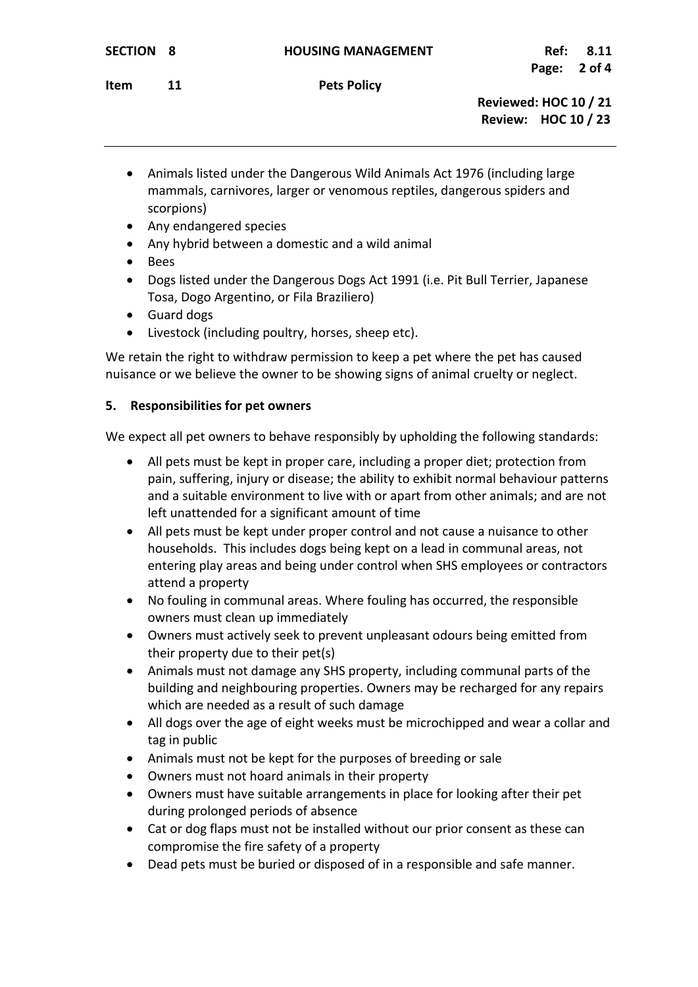**Reviewed: HOC 10 / 21 Review: HOC 10 / 23**

- Animals listed under the Dangerous Wild Animals Act 1976 (including large mammals, carnivores, larger or venomous reptiles, dangerous spiders and scorpions)
- Any endangered species
- Any hybrid between a domestic and a wild animal
- Bees
- Dogs listed under the Dangerous Dogs Act 1991 (i.e. Pit Bull Terrier, Japanese Tosa, Dogo Argentino, or Fila Braziliero)
- Guard dogs
- Livestock (including poultry, horses, sheep etc).

We retain the right to withdraw permission to keep a pet where the pet has caused nuisance or we believe the owner to be showing signs of animal cruelty or neglect.

#### **5. Responsibilities for pet owners**

We expect all pet owners to behave responsibly by upholding the following standards:

- All pets must be kept in proper care, including a proper diet; protection from pain, suffering, injury or disease; the ability to exhibit normal behaviour patterns and a suitable environment to live with or apart from other animals; and are not left unattended for a significant amount of time
- All pets must be kept under proper control and not cause a nuisance to other households. This includes dogs being kept on a lead in communal areas, not entering play areas and being under control when SHS employees or contractors attend a property
- No fouling in communal areas. Where fouling has occurred, the responsible owners must clean up immediately
- Owners must actively seek to prevent unpleasant odours being emitted from their property due to their pet(s)
- Animals must not damage any SHS property, including communal parts of the building and neighbouring properties. Owners may be recharged for any repairs which are needed as a result of such damage
- All dogs over the age of eight weeks must be microchipped and wear a collar and tag in public
- Animals must not be kept for the purposes of breeding or sale
- Owners must not hoard animals in their property
- Owners must have suitable arrangements in place for looking after their pet during prolonged periods of absence
- Cat or dog flaps must not be installed without our prior consent as these can compromise the fire safety of a property
- Dead pets must be buried or disposed of in a responsible and safe manner.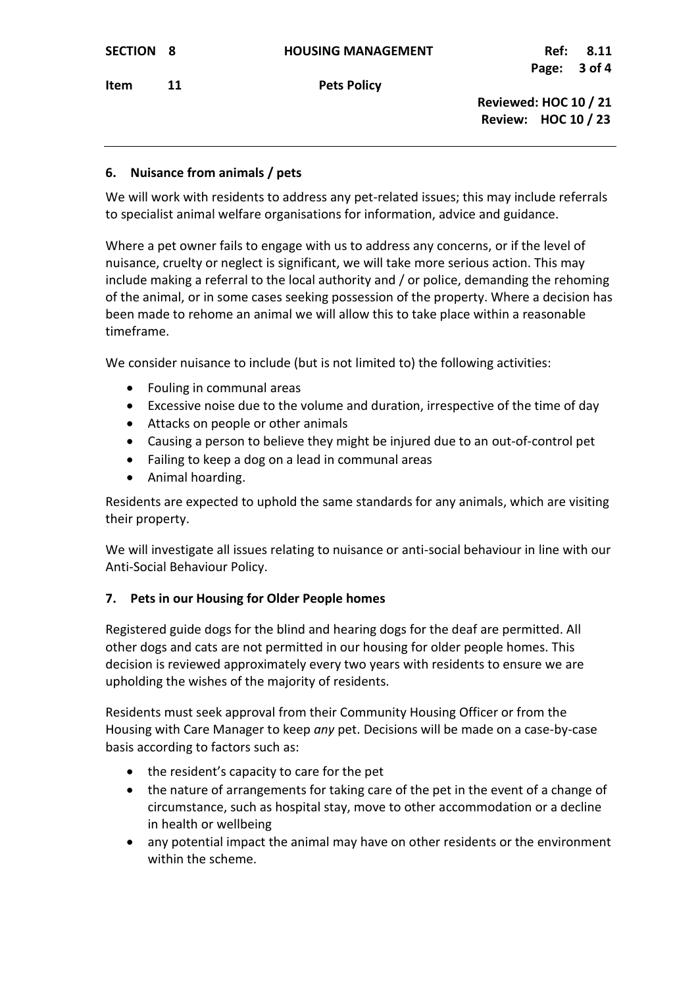**Item** 11 Pets Policy

 **Reviewed: HOC 10 / 21 Review: HOC 10 / 23**

### **6. Nuisance from animals / pets**

We will work with residents to address any pet-related issues; this may include referrals to specialist animal welfare organisations for information, advice and guidance.

Where a pet owner fails to engage with us to address any concerns, or if the level of nuisance, cruelty or neglect is significant, we will take more serious action. This may include making a referral to the local authority and / or police, demanding the rehoming of the animal, or in some cases seeking possession of the property. Where a decision has been made to rehome an animal we will allow this to take place within a reasonable timeframe.

We consider nuisance to include (but is not limited to) the following activities:

- Fouling in communal areas
- Excessive noise due to the volume and duration, irrespective of the time of day
- Attacks on people or other animals
- Causing a person to believe they might be injured due to an out-of-control pet
- Failing to keep a dog on a lead in communal areas
- Animal hoarding.

Residents are expected to uphold the same standards for any animals, which are visiting their property.

We will investigate all issues relating to nuisance or anti-social behaviour in line with our Anti-Social Behaviour Policy.

### **7. Pets in our Housing for Older People homes**

Registered guide dogs for the blind and hearing dogs for the deaf are permitted. All other dogs and cats are not permitted in our housing for older people homes. This decision is reviewed approximately every two years with residents to ensure we are upholding the wishes of the majority of residents.

Residents must seek approval from their Community Housing Officer or from the Housing with Care Manager to keep *any* pet. Decisions will be made on a case-by-case basis according to factors such as:

- the resident's capacity to care for the pet
- the nature of arrangements for taking care of the pet in the event of a change of circumstance, such as hospital stay, move to other accommodation or a decline in health or wellbeing
- any potential impact the animal may have on other residents or the environment within the scheme.